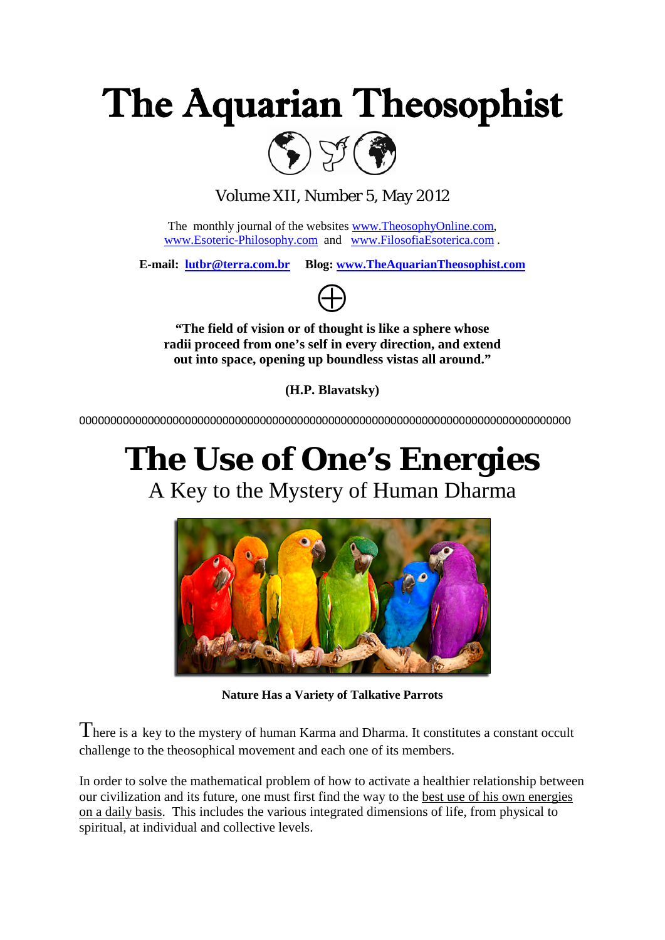



Volume XII, Number 5, May 2012

The monthly journal of the websites [www.TheosophyOnline.com,](http://www.theosophyonline.com/) [www.Esoteric-Philosophy.com](http://www.esoteric-philosophy.com/) and [www.FilosofiaEsoterica.com](http://www.filosofiaesoterica.com/) .

**E-mail: [lutbr@terra.com.br](mailto:lutbr@terra.com.br) Blog: [www.TheAquarianTheosophist.com](http://www.theaquariantheosophist.com/)**



**"The field of vision or of thought is like a sphere whose radii proceed from one's self in every direction, and extend out into space, opening up boundless vistas all around."**

**(H.P. Blavatsky)**

0000000000000000000000000000000000000000000000000000000000000000000000000000000

# **The Use of One's Energies**

A Key to the Mystery of Human Dharma



**Nature Has a Variety of Talkative Parrots**

There is a key to the mystery of human Karma and Dharma. It constitutes a constant occult challenge to the theosophical movement and each one of its members.

In order to solve the mathematical problem of how to activate a healthier relationship between our civilization and its future, one must first find the way to the best use of his own energies on a daily basis. This includes the various integrated dimensions of life, from physical to spiritual, at individual and collective levels.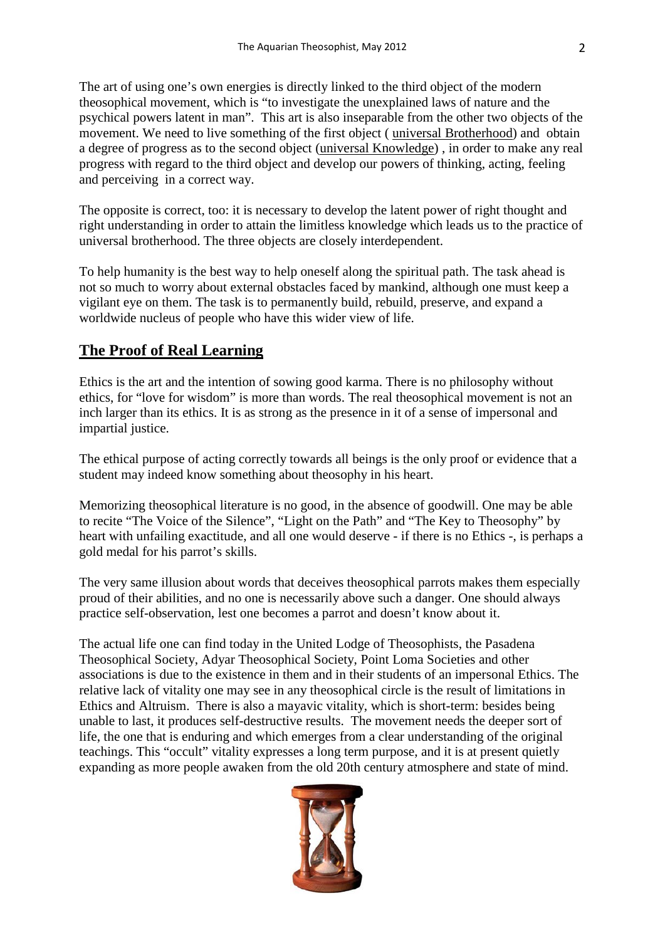The art of using one's own energies is directly linked to the third object of the modern theosophical movement, which is "to investigate the unexplained laws of nature and the psychical powers latent in man". This art is also inseparable from the other two objects of the movement. We need to live something of the first object ( universal Brotherhood) and obtain a degree of progress as to the second object (universal Knowledge) , in order to make any real progress with regard to the third object and develop our powers of thinking, acting, feeling and perceiving in a correct way.

The opposite is correct, too: it is necessary to develop the latent power of right thought and right understanding in order to attain the limitless knowledge which leads us to the practice of universal brotherhood. The three objects are closely interdependent.

To help humanity is the best way to help oneself along the spiritual path. The task ahead is not so much to worry about external obstacles faced by mankind, although one must keep a vigilant eye on them. The task is to permanently build, rebuild, preserve, and expand a worldwide nucleus of people who have this wider view of life.

#### **The Proof of Real Learning**

Ethics is the art and the intention of sowing good karma. There is no philosophy without ethics, for "love for wisdom" is more than words. The real theosophical movement is not an inch larger than its ethics. It is as strong as the presence in it of a sense of impersonal and impartial justice.

The ethical purpose of acting correctly towards all beings is the only proof or evidence that a student may indeed know something about theosophy in his heart.

Memorizing theosophical literature is no good, in the absence of goodwill. One may be able to recite "The Voice of the Silence", "Light on the Path" and "The Key to Theosophy" by heart with unfailing exactitude, and all one would deserve - if there is no Ethics -, is perhaps a gold medal for his parrot's skills.

The very same illusion about words that deceives theosophical parrots makes them especially proud of their abilities, and no one is necessarily above such a danger. One should always practice self-observation, lest one becomes a parrot and doesn't know about it.

The actual life one can find today in the United Lodge of Theosophists, the Pasadena Theosophical Society, Adyar Theosophical Society, Point Loma Societies and other associations is due to the existence in them and in their students of an impersonal Ethics. The relative lack of vitality one may see in any theosophical circle is the result of limitations in Ethics and Altruism. There is also a mayavic vitality, which is short-term: besides being unable to last, it produces self-destructive results. The movement needs the deeper sort of life, the one that is enduring and which emerges from a clear understanding of the original teachings. This "occult" vitality expresses a long term purpose, and it is at present quietly expanding as more people awaken from the old 20th century atmosphere and state of mind.

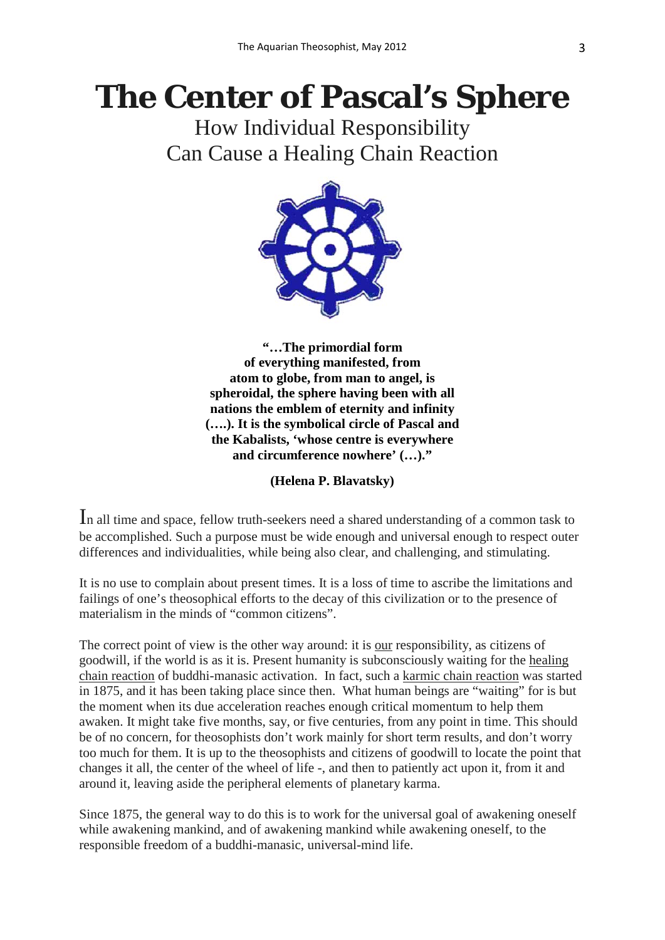# **The Center of Pascal's Sphere**

How Individual Responsibility Can Cause a Healing Chain Reaction



**"…The primordial form of everything manifested, from atom to globe, from man to angel, is spheroidal, the sphere having been with all nations the emblem of eternity and infinity (….). It is the symbolical circle of Pascal and the Kabalists, 'whose centre is everywhere and circumference nowhere' (…)."**

#### **(Helena P. Blavatsky)**

In all time and space, fellow truth-seekers need a shared understanding of a common task to be accomplished. Such a purpose must be wide enough and universal enough to respect outer differences and individualities, while being also clear, and challenging, and stimulating.

It is no use to complain about present times. It is a loss of time to ascribe the limitations and failings of one's theosophical efforts to the decay of this civilization or to the presence of materialism in the minds of "common citizens".

The correct point of view is the other way around: it is our responsibility, as citizens of goodwill, if the world is as it is. Present humanity is subconsciously waiting for the healing chain reaction of buddhi-manasic activation. In fact, such a karmic chain reaction was started in 1875, and it has been taking place since then. What human beings are "waiting" for is but the moment when its due acceleration reaches enough critical momentum to help them awaken. It might take five months, say, or five centuries, from any point in time. This should be of no concern, for theosophists don't work mainly for short term results, and don't worry too much for them. It is up to the theosophists and citizens of goodwill to locate the point that changes it all, the center of the wheel of life -, and then to patiently act upon it, from it and around it, leaving aside the peripheral elements of planetary karma.

Since 1875, the general way to do this is to work for the universal goal of awakening oneself while awakening mankind, and of awakening mankind while awakening oneself, to the responsible freedom of a buddhi-manasic, universal-mind life.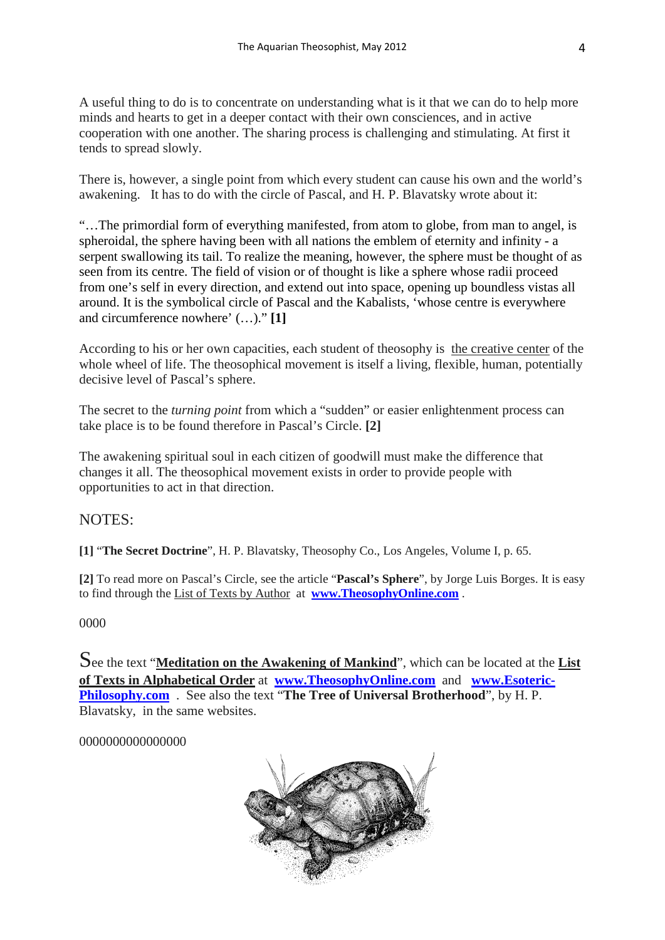A useful thing to do is to concentrate on understanding what is it that we can do to help more minds and hearts to get in a deeper contact with their own consciences, and in active cooperation with one another. The sharing process is challenging and stimulating. At first it tends to spread slowly.

There is, however, a single point from which every student can cause his own and the world's awakening. It has to do with the circle of Pascal, and H. P. Blavatsky wrote about it:

"…The primordial form of everything manifested, from atom to globe, from man to angel, is spheroidal, the sphere having been with all nations the emblem of eternity and infinity - a serpent swallowing its tail. To realize the meaning, however, the sphere must be thought of as seen from its centre. The field of vision or of thought is like a sphere whose radii proceed from one's self in every direction, and extend out into space, opening up boundless vistas all around. It is the symbolical circle of Pascal and the Kabalists, 'whose centre is everywhere and circumference nowhere' (…)." **[1]**

According to his or her own capacities, each student of theosophy is the creative center of the whole wheel of life. The theosophical movement is itself a living, flexible, human, potentially decisive level of Pascal's sphere.

The secret to the *turning point* from which a "sudden" or easier enlightenment process can take place is to be found therefore in Pascal's Circle. **[2]**

The awakening spiritual soul in each citizen of goodwill must make the difference that changes it all. The theosophical movement exists in order to provide people with opportunities to act in that direction.

#### NOTES:

**[1]** "**The Secret Doctrine**", H. P. Blavatsky, Theosophy Co., Los Angeles, Volume I, p. 65.

**[2]** To read more on Pascal's Circle, see the article "**Pascal's Sphere**", by Jorge Luis Borges. It is easy to find through the List of Texts by Author at **[www.TheosophyOnline.com](http://www.theosophyonline.com/)** .

0000

See the text "**Meditation on the Awakening of Mankind**", which can be located at the **List of Texts in Alphabetical Order** at **[www.TheosophyOnline.com](http://www.theosophyonline.com/)** and **[www.Esoteric-](http://www.esoteric-philosophy.com/)[Philosophy.com](http://www.esoteric-philosophy.com/)** . See also the text "**The Tree of Universal Brotherhood**", by H. P. Blavatsky, in the same websites.

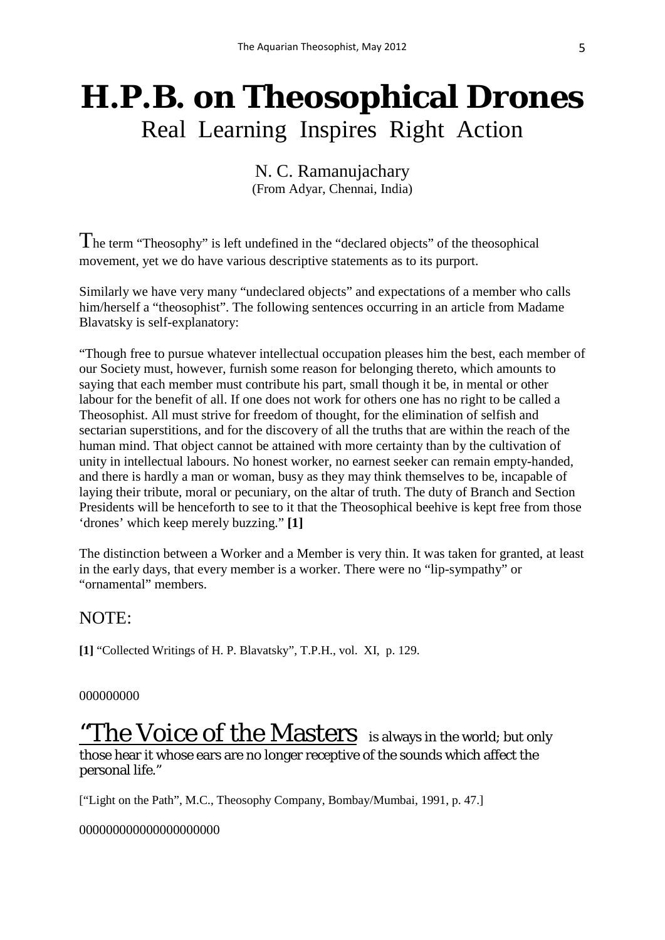## **H.P.B. on Theosophical Drones** Real Learning Inspires Right Action

N. C. Ramanujachary (From Adyar, Chennai, India)

The term "Theosophy" is left undefined in the "declared objects" of the theosophical movement, yet we do have various descriptive statements as to its purport.

Similarly we have very many "undeclared objects" and expectations of a member who calls him/herself a "theosophist". The following sentences occurring in an article from Madame Blavatsky is self-explanatory:

"Though free to pursue whatever intellectual occupation pleases him the best, each member of our Society must, however, furnish some reason for belonging thereto, which amounts to saying that each member must contribute his part, small though it be, in mental or other labour for the benefit of all. If one does not work for others one has no right to be called a Theosophist. All must strive for freedom of thought, for the elimination of selfish and sectarian superstitions, and for the discovery of all the truths that are within the reach of the human mind. That object cannot be attained with more certainty than by the cultivation of unity in intellectual labours. No honest worker, no earnest seeker can remain empty-handed, and there is hardly a man or woman, busy as they may think themselves to be, incapable of laying their tribute, moral or pecuniary, on the altar of truth. The duty of Branch and Section Presidents will be henceforth to see to it that the Theosophical beehive is kept free from those 'drones' which keep merely buzzing." **[1]**

The distinction between a Worker and a Member is very thin. It was taken for granted, at least in the early days, that every member is a worker. There were no "lip-sympathy" or "ornamental" members.

### NOTE:

**[1]** "Collected Writings of H. P. Blavatsky", T.P.H., vol. XI, p. 129.

#### 000000000

"The Voice of the Masters is always in the world; but only those hear it whose ears are no longer receptive of the sounds which affect the personal life."

["Light on the Path", M.C., Theosophy Company, Bombay/Mumbai, 1991, p. 47.]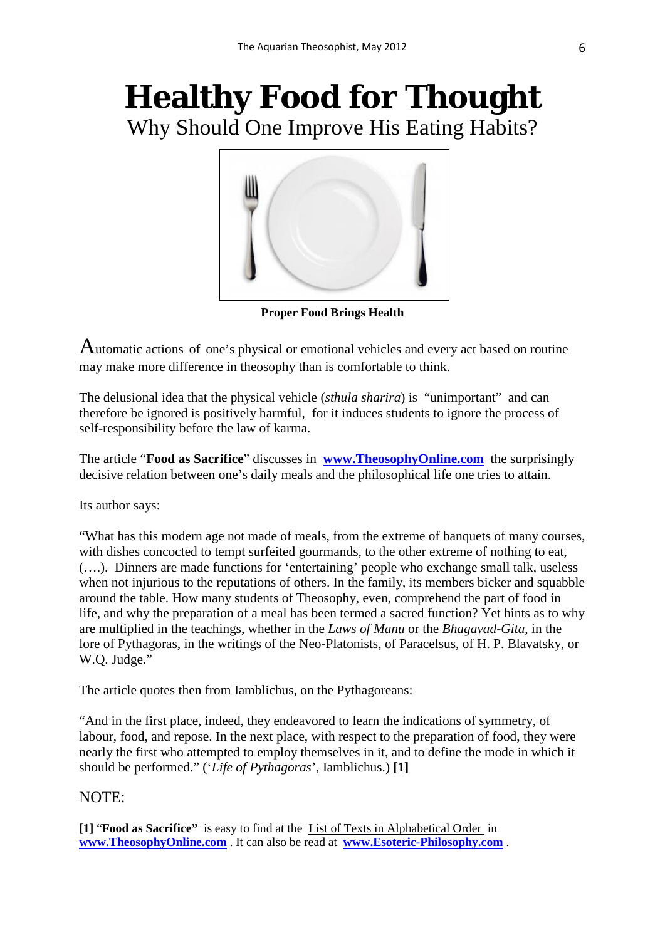## **Healthy Food for Thought** Why Should One Improve His Eating Habits?



**Proper Food Brings Health** 

Automatic actions of one's physical or emotional vehicles and every act based on routine may make more difference in theosophy than is comfortable to think.

The delusional idea that the physical vehicle (*sthula sharira*) is "unimportant" and can therefore be ignored is positively harmful, for it induces students to ignore the process of self-responsibility before the law of karma.

The article "**Food as Sacrifice**" discusses in **[www.TheosophyOnline.com](http://www.theosophyonline.com/)** the surprisingly decisive relation between one's daily meals and the philosophical life one tries to attain.

Its author says:

"What has this modern age not made of meals, from the extreme of banquets of many courses, with dishes concocted to tempt surfeited gourmands, to the other extreme of nothing to eat, (….). Dinners are made functions for 'entertaining' people who exchange small talk, useless when not injurious to the reputations of others. In the family, its members bicker and squabble around the table. How many students of Theosophy, even, comprehend the part of food in life, and why the preparation of a meal has been termed a sacred function? Yet hints as to why are multiplied in the teachings, whether in the *Laws of Manu* or the *Bhagavad-Gita*, in the lore of Pythagoras, in the writings of the Neo-Platonists, of Paracelsus, of H. P. Blavatsky, or W.Q. Judge."

The article quotes then from Iamblichus, on the Pythagoreans:

"And in the first place, indeed, they endeavored to learn the indications of symmetry, of labour, food, and repose. In the next place, with respect to the preparation of food, they were nearly the first who attempted to employ themselves in it, and to define the mode in which it should be performed." ('*Life of Pythagoras*'*,* Iamblichus.) **[1]**

#### NOTE:

**[1]** "**Food as Sacrifice"** is easy to find at the List of Texts in Alphabetical Order in **[www.TheosophyOnline.com](http://www.theosophyonline.com/)** . It can also be read at **[www.Esoteric-Philosophy.com](http://www.esoteric-philosophy.com/)** .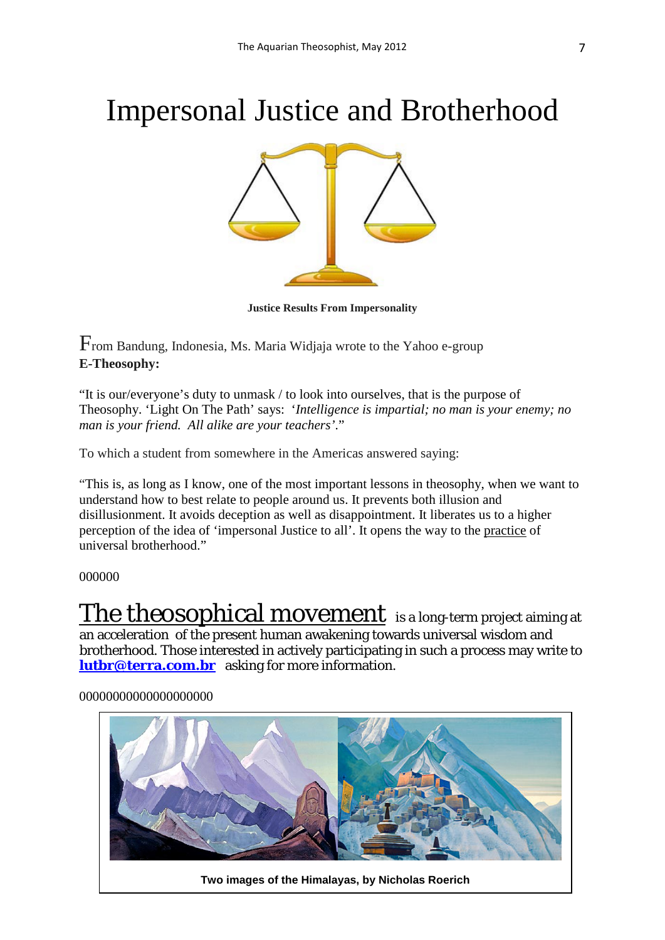# Impersonal Justice and Brotherhood



**Justice Results From Impersonality**

From Bandung, Indonesia, Ms. Maria Widjaja wrote to the Yahoo e-group **E-Theosophy:**

"It is our/everyone's duty to unmask / to look into ourselves, that is the purpose of Theosophy. 'Light On The Path' says: '*Intelligence is impartial; no man is your enemy; no man is your friend. All alike are your teachers'*."

To which a student from somewhere in the Americas answered saying:

"This is, as long as I know, one of the most important lessons in theosophy, when we want to understand how to best relate to people around us. It prevents both illusion and disillusionment. It avoids deception as well as disappointment. It liberates us to a higher perception of the idea of 'impersonal Justice to all'. It opens the way to the practice of universal brotherhood."

#### 000000

The theosophical movement is a long-term project aiming at an acceleration of the present human awakening towards universal wisdom and brotherhood. Those interested in actively participating in such a process may write to **[lutbr@terra.com.br](mailto:lutbr@terra.com.br)** asking for more information.

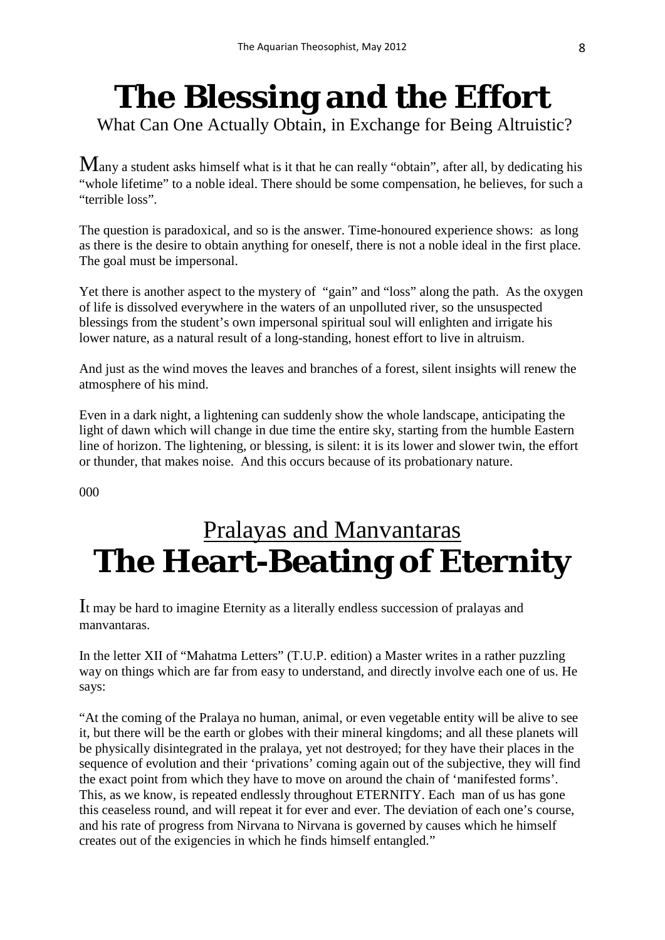# **The Blessing and the Effort**

What Can One Actually Obtain, in Exchange for Being Altruistic?

 $M$ any a student asks himself what is it that he can really "obtain", after all, by dedicating his "whole lifetime" to a noble ideal. There should be some compensation, he believes, for such a "terrible loss".

The question is paradoxical, and so is the answer. Time-honoured experience shows: as long as there is the desire to obtain anything for oneself, there is not a noble ideal in the first place. The goal must be impersonal.

Yet there is another aspect to the mystery of "gain" and "loss" along the path. As the oxygen of life is dissolved everywhere in the waters of an unpolluted river, so the unsuspected blessings from the student's own impersonal spiritual soul will enlighten and irrigate his lower nature, as a natural result of a long-standing, honest effort to live in altruism.

And just as the wind moves the leaves and branches of a forest, silent insights will renew the atmosphere of his mind.

Even in a dark night, a lightening can suddenly show the whole landscape, anticipating the light of dawn which will change in due time the entire sky, starting from the humble Eastern line of horizon. The lightening, or blessing, is silent: it is its lower and slower twin, the effort or thunder, that makes noise. And this occurs because of its probationary nature.

000

## Pralayas and Manvantaras **The Heart-Beating of Eternity**

It may be hard to imagine Eternity as a literally endless succession of pralayas and manvantaras.

In the letter XII of "Mahatma Letters" (T.U.P. edition) a Master writes in a rather puzzling way on things which are far from easy to understand, and directly involve each one of us. He says:

"At the coming of the Pralaya no human, animal, or even vegetable entity will be alive to see it, but there will be the earth or globes with their mineral kingdoms; and all these planets will be physically disintegrated in the pralaya, yet not destroyed; for they have their places in the sequence of evolution and their 'privations' coming again out of the subjective, they will find the exact point from which they have to move on around the chain of 'manifested forms'. This, as we know, is repeated endlessly throughout ETERNITY. Each man of us has gone this ceaseless round, and will repeat it for ever and ever. The deviation of each one's course, and his rate of progress from Nirvana to Nirvana is governed by causes which he himself creates out of the exigencies in which he finds himself entangled."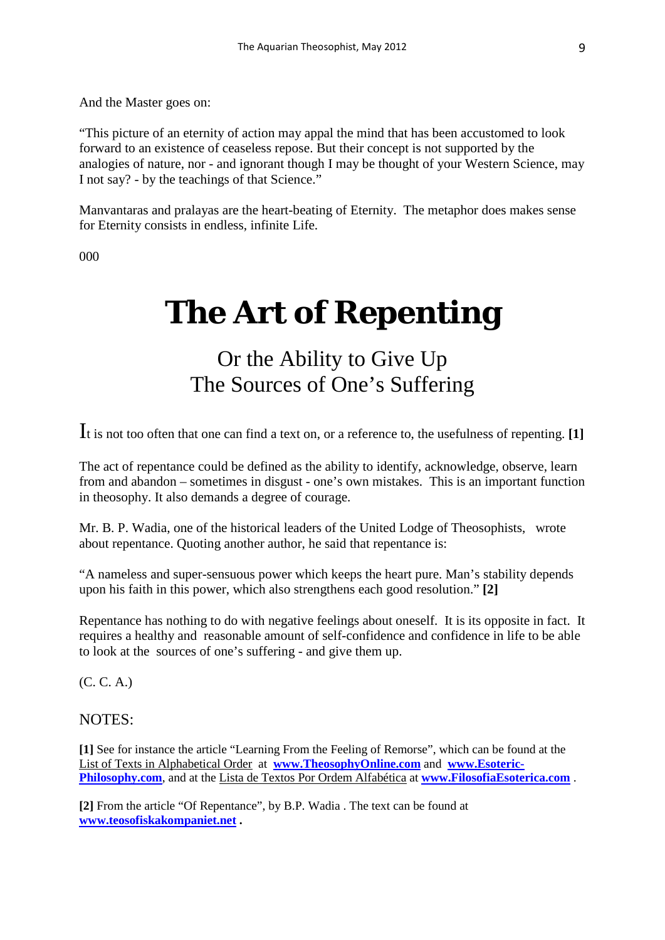And the Master goes on:

"This picture of an eternity of action may appal the mind that has been accustomed to look forward to an existence of ceaseless repose. But their concept is not supported by the analogies of nature, nor - and ignorant though I may be thought of your Western Science, may I not say? - by the teachings of that Science."

Manvantaras and pralayas are the heart-beating of Eternity. The metaphor does makes sense for Eternity consists in endless, infinite Life.

000

# **The Art of Repenting**

## Or the Ability to Give Up The Sources of One's Suffering

It is not too often that one can find a text on, or a reference to, the usefulness of repenting. **[1]**

The act of repentance could be defined as the ability to identify, acknowledge, observe, learn from and abandon – sometimes in disgust - one's own mistakes. This is an important function in theosophy. It also demands a degree of courage.

Mr. B. P. Wadia, one of the historical leaders of the United Lodge of Theosophists, wrote about repentance. Quoting another author, he said that repentance is:

"A nameless and super-sensuous power which keeps the heart pure. Man's stability depends upon his faith in this power, which also strengthens each good resolution." **[2]**

Repentance has nothing to do with negative feelings about oneself. It is its opposite in fact. It requires a healthy and reasonable amount of self-confidence and confidence in life to be able to look at the sources of one's suffering - and give them up.

(C. C. A.)

NOTES:

**[1]** See for instance the article "Learning From the Feeling of Remorse", which can be found at the List of Texts in Alphabetical Order at **[www.TheosophyOnline.com](http://www.theosophyonline.com/)** and **[www.Esoteric-](http://www.esoteric-philosophy.com/)[Philosophy.com](http://www.esoteric-philosophy.com/)**, and at the Lista de Textos Por Ordem Alfabética at **[www.FilosofiaEsoterica.com](http://www.filosofiaesoterica.com/)** .

**[2]** From the article "Of Repentance", by B.P. Wadia . The text can be found at **[www.teosofiskakompaniet.net](http://www.teosofiskakompaniet.net/) .**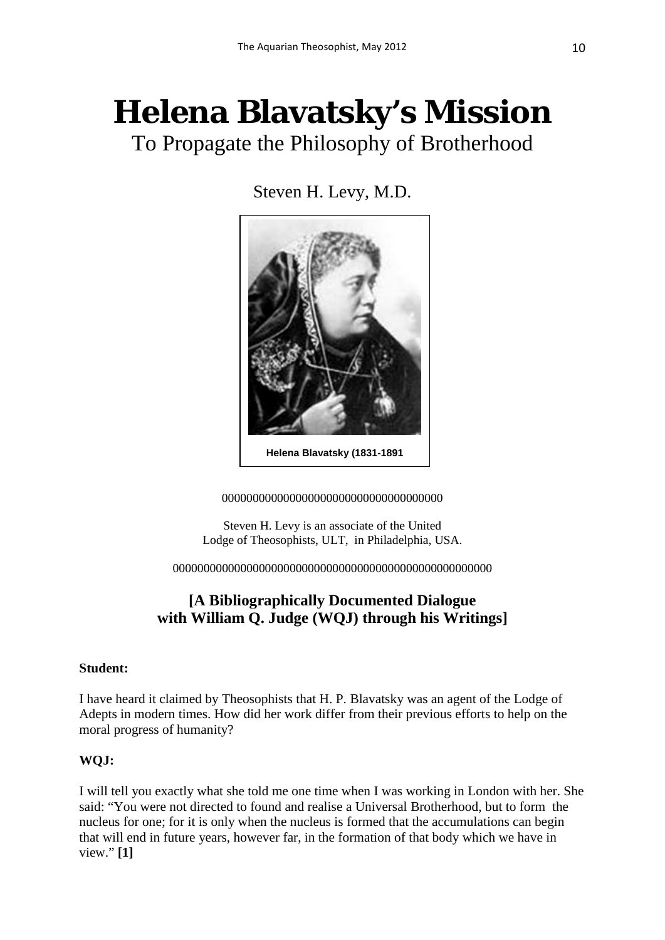# **Helena Blavatsky's Mission**

To Propagate the Philosophy of Brotherhood

Steven H. Levy, M.D.



000000000000000000000000000000000000

Steven H. Levy is an associate of the United Lodge of Theosophists, ULT, in Philadelphia, USA.

0000000000000000000000000000000000000000000000000000

### **[A Bibliographically Documented Dialogue with William Q. Judge (WQJ) through his Writings]**

#### **Student:**

I have heard it claimed by Theosophists that H. P. Blavatsky was an agent of the Lodge of Adepts in modern times. How did her work differ from their previous efforts to help on the moral progress of humanity?

#### **WQJ:**

I will tell you exactly what she told me one time when I was working in London with her. She said: "You were not directed to found and realise a Universal Brotherhood, but to form the nucleus for one; for it is only when the nucleus is formed that the accumulations can begin that will end in future years, however far, in the formation of that body which we have in view." **[1]**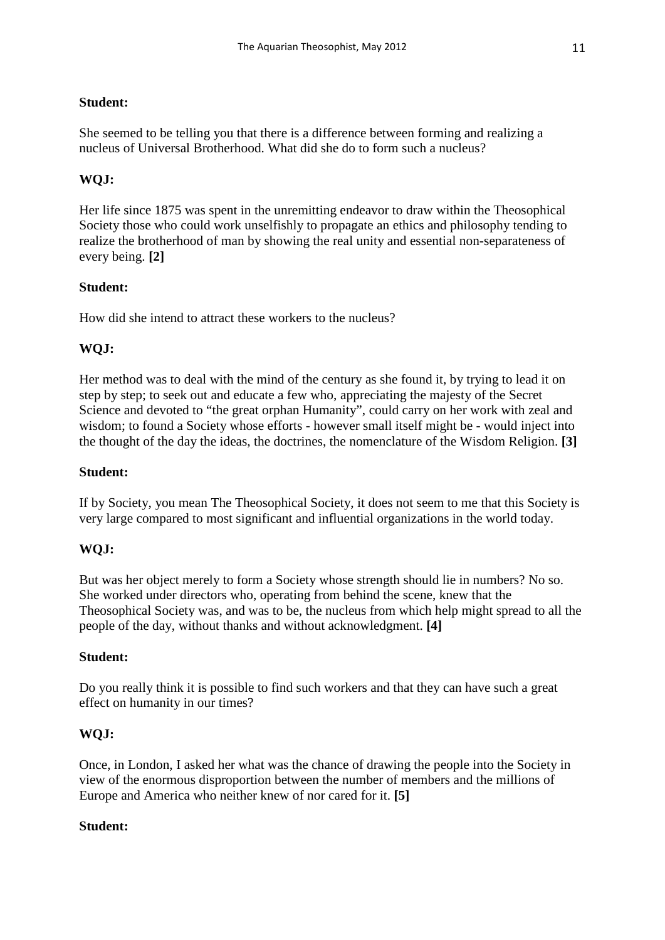#### **Student:**

She seemed to be telling you that there is a difference between forming and realizing a nucleus of Universal Brotherhood. What did she do to form such a nucleus?

#### **WQJ:**

Her life since 1875 was spent in the unremitting endeavor to draw within the Theosophical Society those who could work unselfishly to propagate an ethics and philosophy tending to realize the brotherhood of man by showing the real unity and essential non-separateness of every being. **[2]**

#### **Student:**

How did she intend to attract these workers to the nucleus?

#### **WQJ:**

Her method was to deal with the mind of the century as she found it, by trying to lead it on step by step; to seek out and educate a few who, appreciating the majesty of the Secret Science and devoted to "the great orphan Humanity", could carry on her work with zeal and wisdom; to found a Society whose efforts - however small itself might be - would inject into the thought of the day the ideas, the doctrines, the nomenclature of the Wisdom Religion. **[3]**

#### **Student:**

If by Society, you mean The Theosophical Society, it does not seem to me that this Society is very large compared to most significant and influential organizations in the world today.

#### **WQJ:**

But was her object merely to form a Society whose strength should lie in numbers? No so. She worked under directors who, operating from behind the scene, knew that the Theosophical Society was, and was to be, the nucleus from which help might spread to all the people of the day, without thanks and without acknowledgment. **[4]**

#### **Student:**

Do you really think it is possible to find such workers and that they can have such a great effect on humanity in our times?

#### **WQJ:**

Once, in London, I asked her what was the chance of drawing the people into the Society in view of the enormous disproportion between the number of members and the millions of Europe and America who neither knew of nor cared for it. **[5]**

#### **Student:**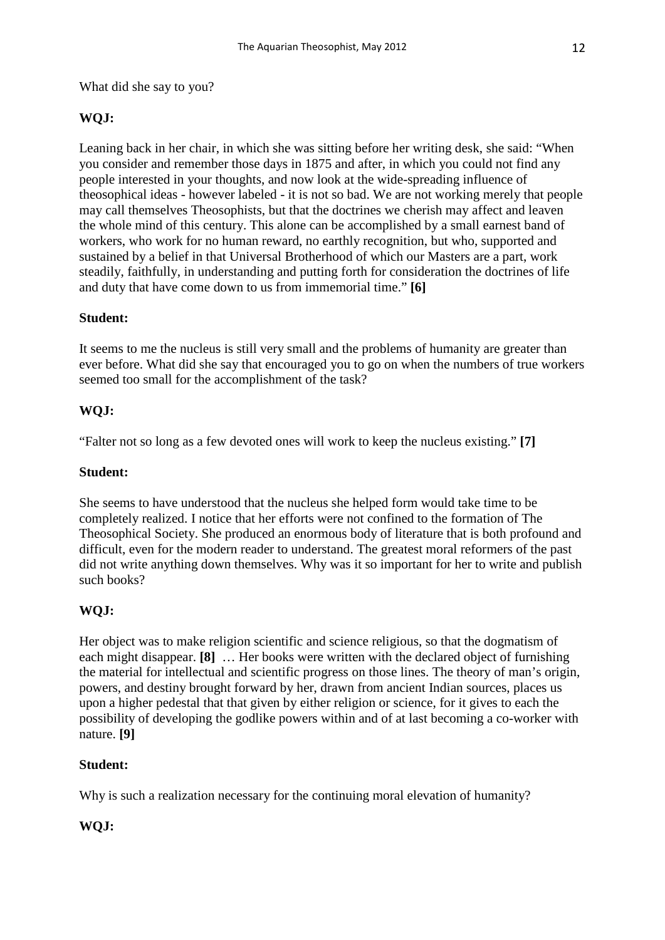What did she say to you?

#### **WQJ:**

Leaning back in her chair, in which she was sitting before her writing desk, she said: "When you consider and remember those days in 1875 and after, in which you could not find any people interested in your thoughts, and now look at the wide-spreading influence of theosophical ideas - however labeled - it is not so bad. We are not working merely that people may call themselves Theosophists, but that the doctrines we cherish may affect and leaven the whole mind of this century. This alone can be accomplished by a small earnest band of workers, who work for no human reward, no earthly recognition, but who, supported and sustained by a belief in that Universal Brotherhood of which our Masters are a part, work steadily, faithfully, in understanding and putting forth for consideration the doctrines of life and duty that have come down to us from immemorial time." **[6]**

#### **Student:**

It seems to me the nucleus is still very small and the problems of humanity are greater than ever before. What did she say that encouraged you to go on when the numbers of true workers seemed too small for the accomplishment of the task?

#### **WQJ:**

"Falter not so long as a few devoted ones will work to keep the nucleus existing." **[7]**

#### **Student:**

She seems to have understood that the nucleus she helped form would take time to be completely realized. I notice that her efforts were not confined to the formation of The Theosophical Society. She produced an enormous body of literature that is both profound and difficult, even for the modern reader to understand. The greatest moral reformers of the past did not write anything down themselves. Why was it so important for her to write and publish such books?

#### **WQJ:**

Her object was to make religion scientific and science religious, so that the dogmatism of each might disappear. **[8]** … Her books were written with the declared object of furnishing the material for intellectual and scientific progress on those lines. The theory of man's origin, powers, and destiny brought forward by her, drawn from ancient Indian sources, places us upon a higher pedestal that that given by either religion or science, for it gives to each the possibility of developing the godlike powers within and of at last becoming a co-worker with nature. **[9]**

#### **Student:**

Why is such a realization necessary for the continuing moral elevation of humanity?

#### **WQJ:**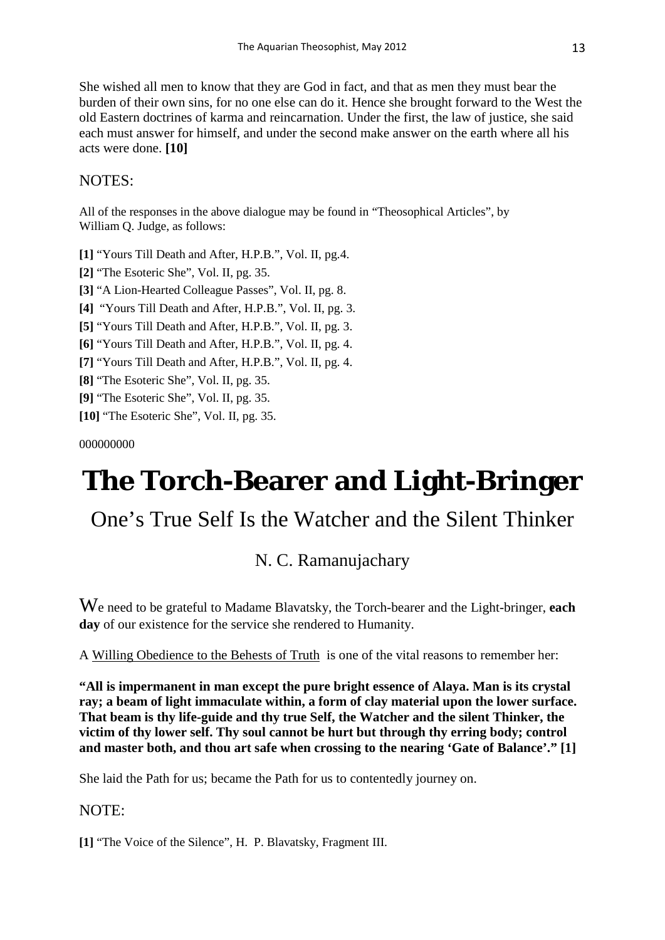She wished all men to know that they are God in fact, and that as men they must bear the burden of their own sins, for no one else can do it. Hence she brought forward to the West the old Eastern doctrines of karma and reincarnation. Under the first, the law of justice, she said each must answer for himself, and under the second make answer on the earth where all his acts were done. **[10]**

#### NOTES:

All of the responses in the above dialogue may be found in "Theosophical Articles", by William Q. Judge, as follows:

**[1]** "Yours Till Death and After, H.P.B.", Vol. II, pg.4.

**[2]** "The Esoteric She", Vol. II, pg. 35.

**[3]** "A Lion-Hearted Colleague Passes", Vol. II, pg. 8.

**[4]** "Yours Till Death and After, H.P.B.", Vol. II, pg. 3.

**[5]** "Yours Till Death and After, H.P.B.", Vol. II, pg. 3.

**[6]** "Yours Till Death and After, H.P.B.", Vol. II, pg. 4.

**[7]** "Yours Till Death and After, H.P.B.", Vol. II, pg. 4.

**[8]** "The Esoteric She", Vol. II, pg. 35.

**[9]** "The Esoteric She", Vol. II, pg. 35.

**[10]** "The Esoteric She", Vol. II, pg. 35.

000000000

## **The Torch-Bearer and Light-Bringer**

## One's True Self Is the Watcher and the Silent Thinker

### N. C. Ramanujachary

We need to be grateful to Madame Blavatsky, the Torch-bearer and the Light-bringer, **each day** of our existence for the service she rendered to Humanity.

A Willing Obedience to the Behests of Truth is one of the vital reasons to remember her:

**"All is impermanent in man except the pure bright essence of Alaya. Man is its crystal ray; a beam of light immaculate within, a form of clay material upon the lower surface. That beam is thy life-guide and thy true Self, the Watcher and the silent Thinker, the victim of thy lower self. Thy soul cannot be hurt but through thy erring body; control and master both, and thou art safe when crossing to the nearing 'Gate of Balance'." [1]** 

She laid the Path for us; became the Path for us to contentedly journey on.

#### NOTE:

**[1]** "The Voice of the Silence", H. P. Blavatsky, Fragment III.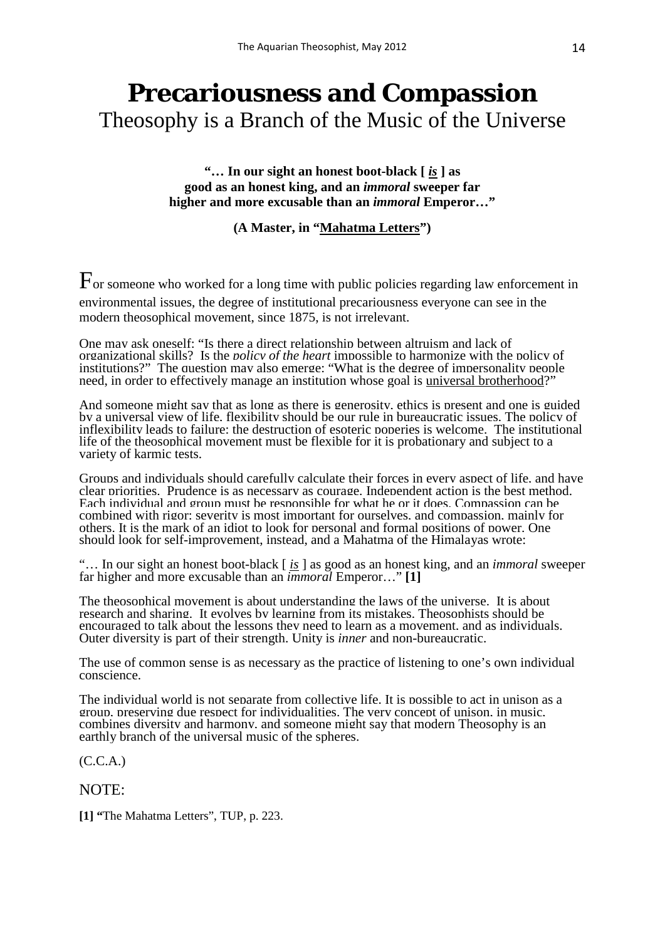## **Precariousness and Compassion** Theosophy is a Branch of the Music of the Universe

**"… In our sight an honest boot-black [** *is* **] as good as an honest king, and an** *immoral* **sweeper far higher and more excusable than an** *immoral* **Emperor…"**

**(A Master, in "Mahatma Letters")**

 $\Gamma$  or someone who worked for a long time with public policies regarding law enforcement in environmental issues, the degree of institutional precariousness everyone can see in the modern theosophical movement, since 1875, is not irrelevant.

One may ask oneself: "Is there a direct relationship between altruism and lack of organizational skills? Is the *policy of the heart* impossible to harmonize with the policy of institutions?" The question may also emerge: "What is the degree of impersonality people need, in order to effectively manage an institution whose goal is *universal brotherhood?*"

And someone might say that as long as there is generosity, ethics is present and one is guided by a universal view of life, flexibility should be our rule in bureaucratic issues. The policy of inflexibility leads to failure: the destruction of esoteric poperies is welcome. The institutional life of the theosophical movement must be flexible for it is probationary and subject to a variety of karmic tests.

Groups and individuals should carefully calculate their forces in every aspect of life, and have clear priorities. Prudence is as necessary as courage. Independent action is the best method. Each individual and group must be responsible for what he or it does. Compassion can be combined with rigor: severity is most important for ourselves, and compassion, mainly for others. It is the mark of an idiot to look for personal and formal positions of power. One should look for self-improvement, instead, and a Mahatma of the Himalayas wrote:

"… In our sight an honest boot-black [ *is* ] as good as an honest king, and an *immoral* sweeper far higher and more excusable than an *immoral* Emperor…" **[1]** 

The theosophical movement is about understanding the laws of the universe. It is about research and sharing. It evolves by learning from its mistakes. Theosophists should be encouraged to talk about the lessons they need to learn as a movement, and as individuals. Outer diversity is part of their strength. Unity is *inner* and non-bureaucratic.

The use of common sense is as necessary as the practice of listening to one's own individual conscience.

The individual world is not separate from collective life. It is possible to act in unison as a group, preserving due respect for individualities. The very concept of unison, in music, combines diversity and harmony, and someone might say that modern Theosophy is an earthly branch of the universal music of the spheres.

(C.C.A.)

NOTE:

**[1] "**The Mahatma Letters", TUP, p. 223.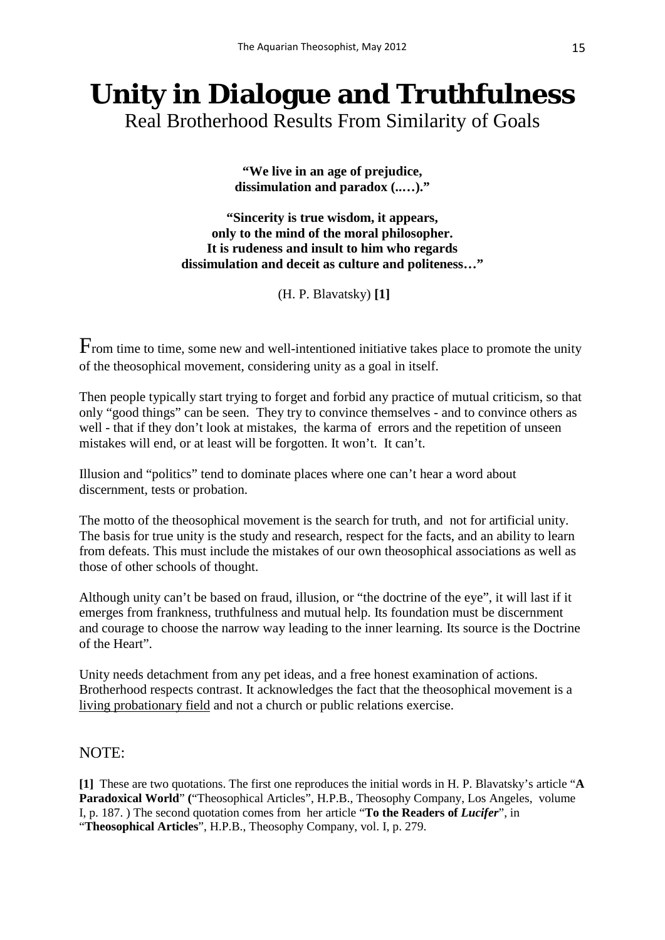# **Unity in Dialogue and Truthfulness**

Real Brotherhood Results From Similarity of Goals

**"We live in an age of prejudice, dissimulation and paradox (..…)."**

**"Sincerity is true wisdom, it appears, only to the mind of the moral philosopher. It is rudeness and insult to him who regards dissimulation and deceit as culture and politeness…"**

(H. P. Blavatsky) **[1]**

From time to time, some new and well-intentioned initiative takes place to promote the unity of the theosophical movement, considering unity as a goal in itself.

Then people typically start trying to forget and forbid any practice of mutual criticism, so that only "good things" can be seen. They try to convince themselves - and to convince others as well - that if they don't look at mistakes, the karma of errors and the repetition of unseen mistakes will end, or at least will be forgotten. It won't. It can't.

Illusion and "politics" tend to dominate places where one can't hear a word about discernment, tests or probation.

The motto of the theosophical movement is the search for truth, and not for artificial unity. The basis for true unity is the study and research, respect for the facts, and an ability to learn from defeats. This must include the mistakes of our own theosophical associations as well as those of other schools of thought.

Although unity can't be based on fraud, illusion, or "the doctrine of the eye", it will last if it emerges from frankness, truthfulness and mutual help. Its foundation must be discernment and courage to choose the narrow way leading to the inner learning. Its source is the Doctrine of the Heart".

Unity needs detachment from any pet ideas, and a free honest examination of actions. Brotherhood respects contrast. It acknowledges the fact that the theosophical movement is a living probationary field and not a church or public relations exercise.

#### NOTE:

**[1]** These are two quotations. The first one reproduces the initial words in H. P. Blavatsky's article "**A Paradoxical World**" **(**"Theosophical Articles", H.P.B., Theosophy Company, Los Angeles, volume I, p. 187. ) The second quotation comes from her article "**To the Readers of** *Lucifer*", in "**Theosophical Articles**", H.P.B., Theosophy Company, vol. I, p. 279.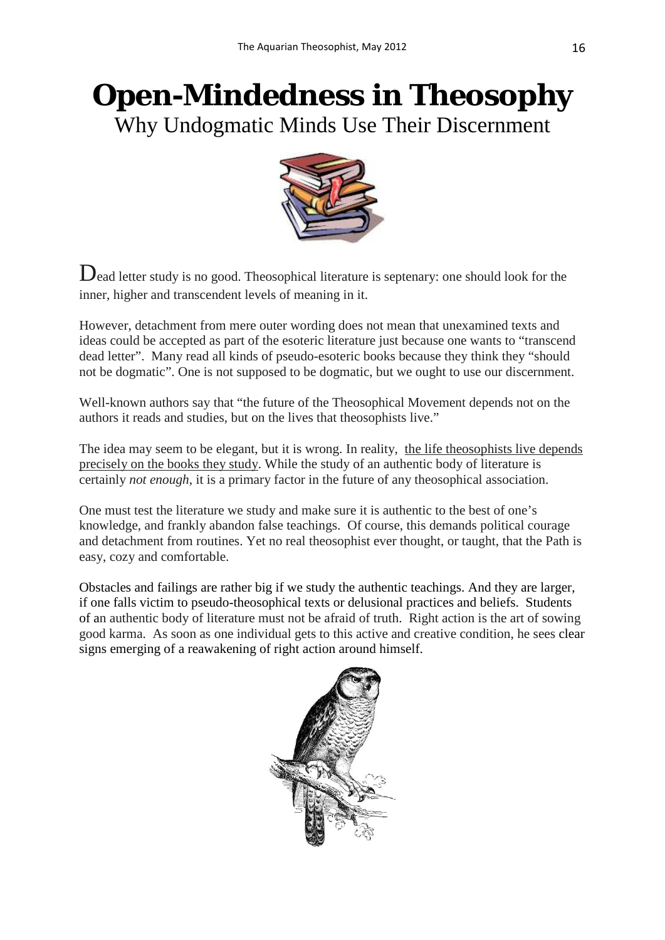## **Open-Mindedness in Theosophy** Why Undogmatic Minds Use Their Discernment



Dead letter study is no good. Theosophical literature is septenary: one should look for the inner, higher and transcendent levels of meaning in it.

However, detachment from mere outer wording does not mean that unexamined texts and ideas could be accepted as part of the esoteric literature just because one wants to "transcend dead letter". Many read all kinds of pseudo-esoteric books because they think they "should not be dogmatic". One is not supposed to be dogmatic, but we ought to use our discernment.

Well-known authors say that "the future of the Theosophical Movement depends not on the authors it reads and studies, but on the lives that theosophists live."

The idea may seem to be elegant, but it is wrong. In reality, the life theosophists live depends precisely on the books they study. While the study of an authentic body of literature is certainly *not enough*, it is a primary factor in the future of any theosophical association.

One must test the literature we study and make sure it is authentic to the best of one's knowledge, and frankly abandon false teachings. Of course, this demands political courage and detachment from routines. Yet no real theosophist ever thought, or taught, that the Path is easy, cozy and comfortable.

Obstacles and failings are rather big if we study the authentic teachings. And they are larger, if one falls victim to pseudo-theosophical texts or delusional practices and beliefs. Students of an authentic body of literature must not be afraid of truth. Right action is the art of sowing good karma. As soon as one individual gets to this active and creative condition, he sees clear signs emerging of a reawakening of right action around himself.

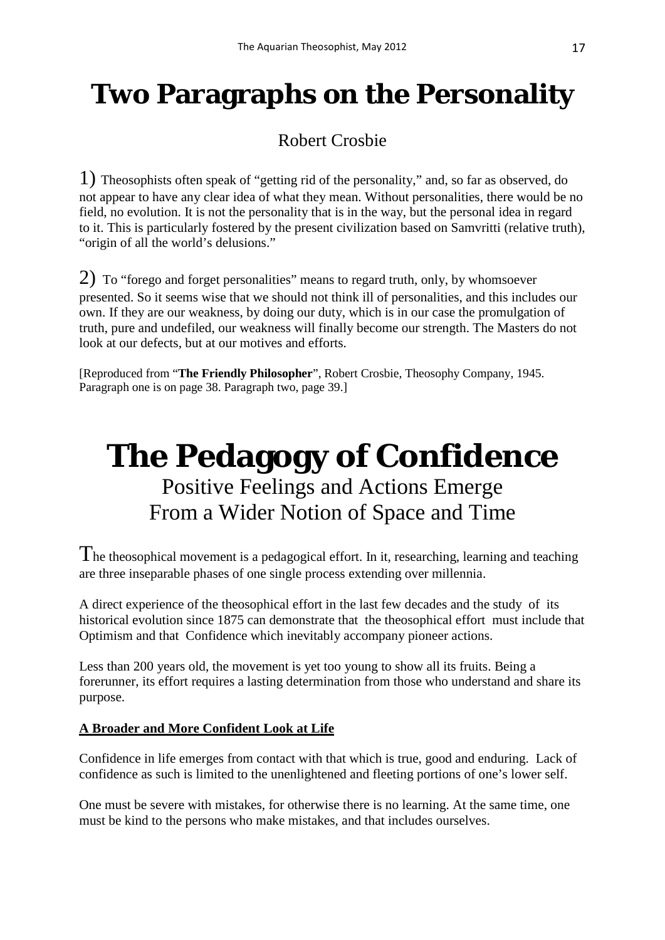## **Two Paragraphs on the Personality**

## Robert Crosbie

1) Theosophists often speak of "getting rid of the personality," and, so far as observed, do not appear to have any clear idea of what they mean. Without personalities, there would be no field, no evolution. It is not the personality that is in the way, but the personal idea in regard to it. This is particularly fostered by the present civilization based on Samvritti (relative truth), "origin of all the world's delusions."

2) To "forego and forget personalities" means to regard truth, only, by whomsoever presented. So it seems wise that we should not think ill of personalities, and this includes our own. If they are our weakness, by doing our duty, which is in our case the promulgation of truth, pure and undefiled, our weakness will finally become our strength. The Masters do not look at our defects, but at our motives and efforts.

[Reproduced from "**The Friendly Philosopher**", Robert Crosbie, Theosophy Company, 1945. Paragraph one is on page 38. Paragraph two, page 39.]

## **The Pedagogy of Confidence** Positive Feelings and Actions Emerge From a Wider Notion of Space and Time

The theosophical movement is a pedagogical effort. In it, researching, learning and teaching are three inseparable phases of one single process extending over millennia.

A direct experience of the theosophical effort in the last few decades and the study of its historical evolution since 1875 can demonstrate that the theosophical effort must include that Optimism and that Confidence which inevitably accompany pioneer actions.

Less than 200 years old, the movement is yet too young to show all its fruits. Being a forerunner, its effort requires a lasting determination from those who understand and share its purpose.

#### **A Broader and More Confident Look at Life**

Confidence in life emerges from contact with that which is true, good and enduring. Lack of confidence as such is limited to the unenlightened and fleeting portions of one's lower self.

One must be severe with mistakes, for otherwise there is no learning. At the same time, one must be kind to the persons who make mistakes, and that includes ourselves.